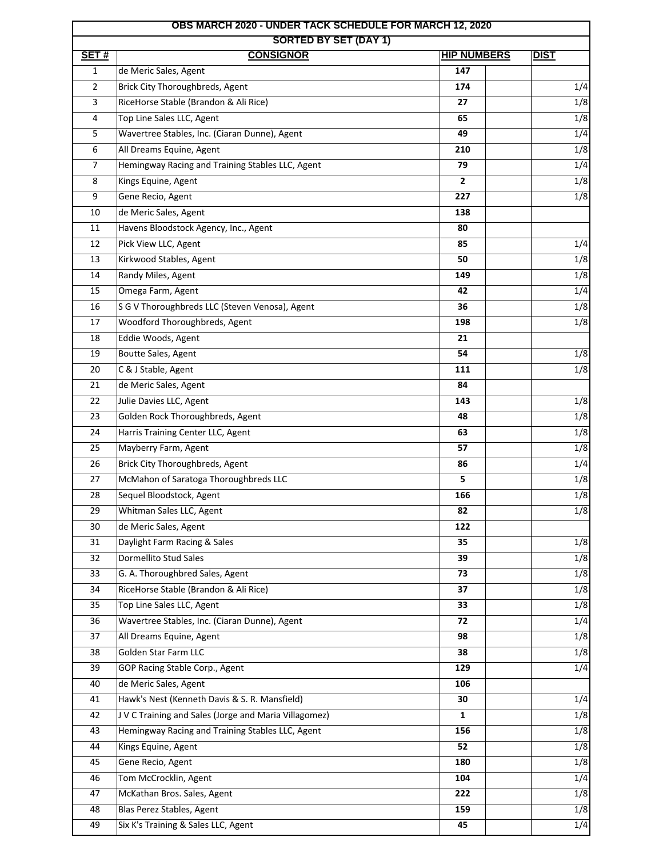| <b>OBS MARCH 2020 - UNDER TACK SCHEDULE FOR MARCH 12, 2020</b> |                                                       |                    |                  |  |  |
|----------------------------------------------------------------|-------------------------------------------------------|--------------------|------------------|--|--|
| SET#                                                           | <b>SORTED BY SET (DAY 1)</b><br><b>CONSIGNOR</b>      | <b>HIP NUMBERS</b> | <b>DIST</b>      |  |  |
| $\mathbf{1}$                                                   | de Meric Sales, Agent                                 | 147                |                  |  |  |
| $\overline{2}$                                                 | Brick City Thoroughbreds, Agent                       | 174                | 1/4              |  |  |
| 3                                                              | RiceHorse Stable (Brandon & Ali Rice)                 | 27                 | 1/8              |  |  |
| 4                                                              | Top Line Sales LLC, Agent                             | 65                 | 1/8              |  |  |
| 5                                                              | Wavertree Stables, Inc. (Ciaran Dunne), Agent         | 49                 | 1/4              |  |  |
| 6                                                              | All Dreams Equine, Agent                              | 210                | 1/8              |  |  |
| 7                                                              | Hemingway Racing and Training Stables LLC, Agent      | 79                 | 1/4              |  |  |
| 8                                                              | Kings Equine, Agent                                   | $\mathbf{2}$       | 1/8              |  |  |
| 9                                                              | Gene Recio, Agent                                     | 227                | 1/8              |  |  |
| 10                                                             | de Meric Sales, Agent                                 | 138                |                  |  |  |
| 11                                                             | Havens Bloodstock Agency, Inc., Agent                 | 80                 |                  |  |  |
| 12                                                             | Pick View LLC, Agent                                  | 85                 | 1/4              |  |  |
| 13                                                             | Kirkwood Stables, Agent                               | 50                 | 1/8              |  |  |
| 14                                                             | Randy Miles, Agent                                    | 149                | 1/8              |  |  |
| 15                                                             | Omega Farm, Agent                                     | 42                 | 1/4              |  |  |
| 16                                                             | S G V Thoroughbreds LLC (Steven Venosa), Agent        | 36                 | 1/8              |  |  |
| 17                                                             | Woodford Thoroughbreds, Agent                         | 198                | 1/8              |  |  |
| 18                                                             | Eddie Woods, Agent                                    | 21                 |                  |  |  |
| 19                                                             | Boutte Sales, Agent                                   | 54                 | 1/8              |  |  |
| 20                                                             | C & J Stable, Agent                                   | 111                | 1/8              |  |  |
| 21                                                             | de Meric Sales, Agent                                 | 84                 |                  |  |  |
| 22                                                             | Julie Davies LLC, Agent                               | 143                | 1/8              |  |  |
| 23                                                             | Golden Rock Thoroughbreds, Agent                      | 48                 | 1/8              |  |  |
| 24                                                             | Harris Training Center LLC, Agent                     | 63                 | 1/8              |  |  |
| 25                                                             | Mayberry Farm, Agent                                  | 57                 | 1/8              |  |  |
| 26                                                             | Brick City Thoroughbreds, Agent                       | 86                 | 1/4              |  |  |
| 27                                                             | McMahon of Saratoga Thoroughbreds LLC                 | 5                  | 1/8              |  |  |
| 28                                                             | Sequel Bloodstock, Agent                              | 166                | 1/8              |  |  |
| 29                                                             |                                                       | 82                 |                  |  |  |
| 30                                                             | Whitman Sales LLC, Agent<br>de Meric Sales, Agent     | 122                | 1/8              |  |  |
| 31                                                             | Daylight Farm Racing & Sales                          | 35                 | 1/8              |  |  |
| 32                                                             | Dormellito Stud Sales                                 | 39                 | $\overline{1/8}$ |  |  |
| 33                                                             | G. A. Thoroughbred Sales, Agent                       | 73                 | 1/8              |  |  |
| 34                                                             | RiceHorse Stable (Brandon & Ali Rice)                 | 37                 | 1/8              |  |  |
| 35                                                             | Top Line Sales LLC, Agent                             | 33                 | 1/8              |  |  |
| 36                                                             | Wavertree Stables, Inc. (Ciaran Dunne), Agent         | 72                 | 1/4              |  |  |
| 37                                                             | All Dreams Equine, Agent                              | 98                 | 1/8              |  |  |
| 38                                                             | Golden Star Farm LLC                                  | 38                 | 1/8              |  |  |
| 39                                                             | GOP Racing Stable Corp., Agent                        | 129                | $\overline{1/4}$ |  |  |
| 40                                                             | de Meric Sales, Agent                                 | 106                |                  |  |  |
|                                                                | Hawk's Nest (Kenneth Davis & S. R. Mansfield)         |                    |                  |  |  |
| 41<br>42                                                       | J V C Training and Sales (Jorge and Maria Villagomez) | 30                 | 1/4              |  |  |
|                                                                | Hemingway Racing and Training Stables LLC, Agent      | 1                  | $\overline{1/8}$ |  |  |
| 43                                                             |                                                       | 156                | 1/8              |  |  |
| 44                                                             | Kings Equine, Agent                                   | 52                 | 1/8              |  |  |
| 45                                                             | Gene Recio, Agent                                     | 180                | 1/8              |  |  |
| 46                                                             | Tom McCrocklin, Agent                                 | 104                | 1/4              |  |  |
| 47                                                             | McKathan Bros. Sales, Agent                           | 222                | 1/8              |  |  |
| 48                                                             | Blas Perez Stables, Agent                             | 159                | 1/8              |  |  |
| 49                                                             | Six K's Training & Sales LLC, Agent                   | 45                 | 1/4              |  |  |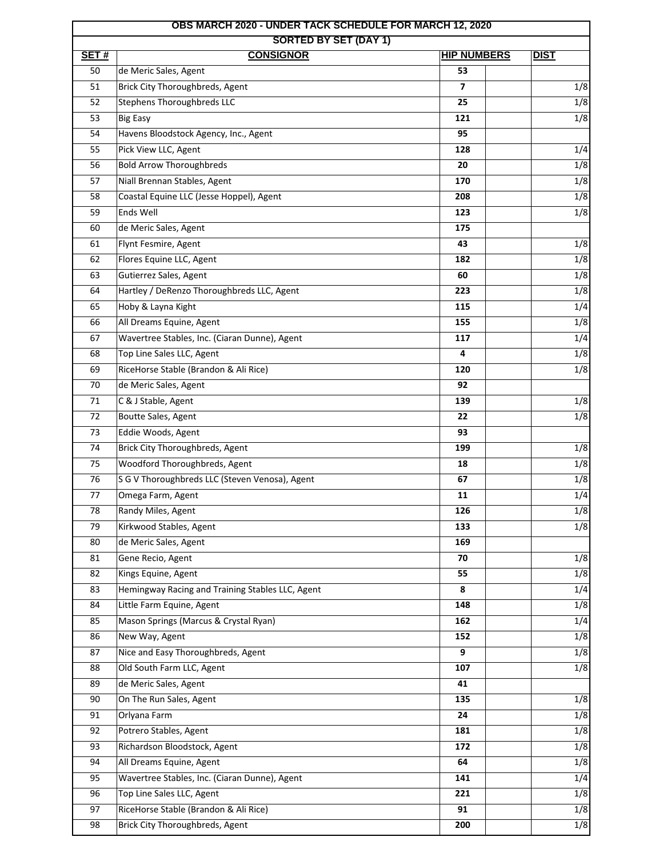| <b>OBS MARCH 2020 - UNDER TACK SCHEDULE FOR MARCH 12, 2020</b><br><b>SORTED BY SET (DAY 1)</b> |                                                  |                    |                  |  |  |
|------------------------------------------------------------------------------------------------|--------------------------------------------------|--------------------|------------------|--|--|
| SET#                                                                                           | <b>CONSIGNOR</b>                                 | <b>HIP NUMBERS</b> | <b>DIST</b>      |  |  |
| 50                                                                                             | de Meric Sales, Agent                            | 53                 |                  |  |  |
| 51                                                                                             | Brick City Thoroughbreds, Agent                  | 7                  | 1/8              |  |  |
| 52                                                                                             | <b>Stephens Thoroughbreds LLC</b>                | 25                 | 1/8              |  |  |
| 53                                                                                             | <b>Big Easy</b>                                  | 121                | 1/8              |  |  |
| 54                                                                                             | Havens Bloodstock Agency, Inc., Agent            | 95                 |                  |  |  |
| 55                                                                                             | Pick View LLC, Agent                             | 128                | 1/4              |  |  |
| 56                                                                                             | <b>Bold Arrow Thoroughbreds</b>                  | 20                 | 1/8              |  |  |
| 57                                                                                             | Niall Brennan Stables, Agent                     | 170                | 1/8              |  |  |
| 58                                                                                             | Coastal Equine LLC (Jesse Hoppel), Agent         | 208                | 1/8              |  |  |
| 59                                                                                             | Ends Well                                        | 123                | 1/8              |  |  |
| 60                                                                                             | de Meric Sales, Agent                            | 175                |                  |  |  |
| 61                                                                                             | Flynt Fesmire, Agent                             | 43                 | 1/8              |  |  |
| 62                                                                                             | Flores Equine LLC, Agent                         | 182                | 1/8              |  |  |
| 63                                                                                             | Gutierrez Sales, Agent                           | 60                 | 1/8              |  |  |
| 64                                                                                             | Hartley / DeRenzo Thoroughbreds LLC, Agent       | 223                | 1/8              |  |  |
| 65                                                                                             | Hoby & Layna Kight                               | 115                | 1/4              |  |  |
| 66                                                                                             | All Dreams Equine, Agent                         | 155                | 1/8              |  |  |
| 67                                                                                             | Wavertree Stables, Inc. (Ciaran Dunne), Agent    | 117                | $\overline{1/4}$ |  |  |
| 68                                                                                             | Top Line Sales LLC, Agent                        | 4                  | 1/8              |  |  |
| 69                                                                                             | RiceHorse Stable (Brandon & Ali Rice)            | 120                | 1/8              |  |  |
| 70                                                                                             | de Meric Sales, Agent                            | 92                 |                  |  |  |
| 71                                                                                             | C & J Stable, Agent                              | 139                | 1/8              |  |  |
| 72                                                                                             | Boutte Sales, Agent                              | 22                 | 1/8              |  |  |
| 73                                                                                             | Eddie Woods, Agent                               | 93                 |                  |  |  |
| 74                                                                                             | Brick City Thoroughbreds, Agent                  | 199                | 1/8              |  |  |
| 75                                                                                             | Woodford Thoroughbreds, Agent                    | 18                 | 1/8              |  |  |
| 76                                                                                             | S G V Thoroughbreds LLC (Steven Venosa), Agent   | 67                 | 1/8              |  |  |
| 77                                                                                             | Omega Farm, Agent                                | 11                 | 1/4              |  |  |
| 78                                                                                             | Randy Miles, Agent                               | 126                | 1/8              |  |  |
| 79                                                                                             | Kirkwood Stables, Agent                          | 133                | 1/8              |  |  |
| 80                                                                                             | de Meric Sales, Agent                            | 169                |                  |  |  |
| 81                                                                                             | Gene Recio, Agent                                | 70                 | 1/8              |  |  |
| 82                                                                                             | Kings Equine, Agent                              | 55                 | 1/8              |  |  |
| 83                                                                                             | Hemingway Racing and Training Stables LLC, Agent | 8                  | 1/4              |  |  |
| 84                                                                                             | Little Farm Equine, Agent                        | 148                | 1/8              |  |  |
| 85                                                                                             | Mason Springs (Marcus & Crystal Ryan)            | 162                | 1/4              |  |  |
| 86                                                                                             | New Way, Agent                                   | 152                | 1/8              |  |  |
| 87                                                                                             | Nice and Easy Thoroughbreds, Agent               | 9                  | 1/8              |  |  |
| 88                                                                                             | Old South Farm LLC, Agent                        | 107                | 1/8              |  |  |
| 89                                                                                             | de Meric Sales, Agent                            | 41                 |                  |  |  |
| 90                                                                                             | On The Run Sales, Agent                          | 135                | 1/8              |  |  |
| 91                                                                                             | Orlyana Farm                                     | 24                 | 1/8              |  |  |
| 92                                                                                             | Potrero Stables, Agent                           | 181                | 1/8              |  |  |
| 93                                                                                             | Richardson Bloodstock, Agent                     | 172                | 1/8              |  |  |
| 94                                                                                             | All Dreams Equine, Agent                         | 64                 | 1/8              |  |  |
| 95                                                                                             | Wavertree Stables, Inc. (Ciaran Dunne), Agent    | 141                | 1/4              |  |  |
| 96                                                                                             | Top Line Sales LLC, Agent                        | 221                | 1/8              |  |  |
| 97                                                                                             | RiceHorse Stable (Brandon & Ali Rice)            | 91                 | 1/8              |  |  |
| 98                                                                                             | Brick City Thoroughbreds, Agent                  | 200                | 1/8              |  |  |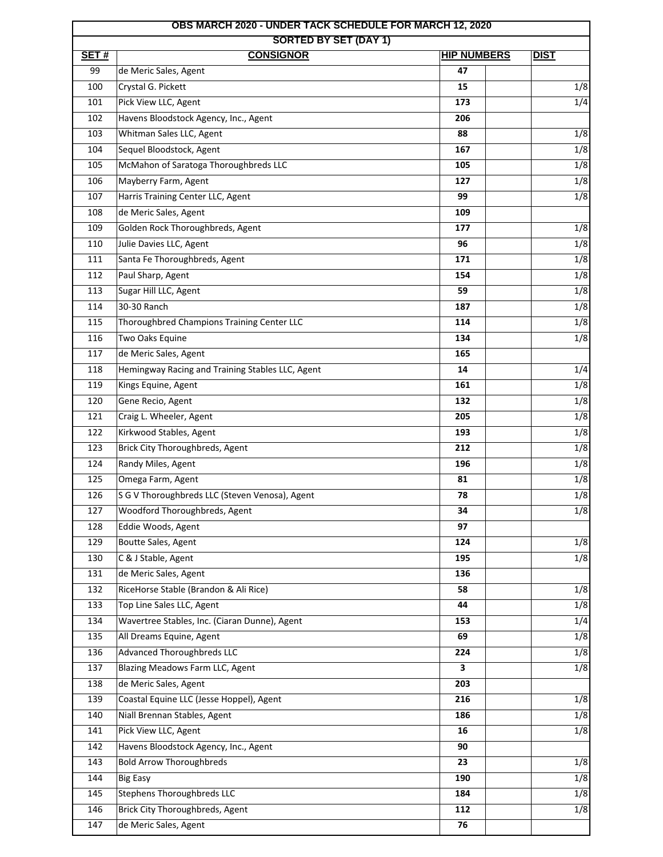| <b>OBS MARCH 2020 - UNDER TACK SCHEDULE FOR MARCH 12, 2020</b> |                                                  |     |                  |  |  |
|----------------------------------------------------------------|--------------------------------------------------|-----|------------------|--|--|
| <b>SORTED BY SET (DAY 1)</b><br>SET#<br><b>HIP NUMBERS</b>     |                                                  |     | <b>DIST</b>      |  |  |
| 99                                                             | <b>CONSIGNOR</b><br>de Meric Sales, Agent        | 47  |                  |  |  |
| 100                                                            | Crystal G. Pickett                               | 15  | 1/8              |  |  |
| 101                                                            | Pick View LLC, Agent                             | 173 | 1/4              |  |  |
| 102                                                            | Havens Bloodstock Agency, Inc., Agent            | 206 |                  |  |  |
| 103                                                            | Whitman Sales LLC, Agent                         | 88  | 1/8              |  |  |
| 104                                                            | Sequel Bloodstock, Agent                         | 167 | 1/8              |  |  |
| 105                                                            | McMahon of Saratoga Thoroughbreds LLC            | 105 | 1/8              |  |  |
| 106                                                            | Mayberry Farm, Agent                             | 127 | 1/8              |  |  |
| 107                                                            | Harris Training Center LLC, Agent                | 99  | 1/8              |  |  |
| 108                                                            | de Meric Sales, Agent                            | 109 |                  |  |  |
| 109                                                            | Golden Rock Thoroughbreds, Agent                 | 177 | 1/8              |  |  |
| 110                                                            | Julie Davies LLC, Agent                          | 96  | 1/8              |  |  |
| 111                                                            |                                                  | 171 | 1/8              |  |  |
|                                                                | Santa Fe Thoroughbreds, Agent                    |     |                  |  |  |
| 112                                                            | Paul Sharp, Agent                                | 154 | 1/8              |  |  |
| 113                                                            | Sugar Hill LLC, Agent                            | 59  | 1/8              |  |  |
| 114                                                            | 30-30 Ranch                                      | 187 | 1/8              |  |  |
| 115                                                            | Thoroughbred Champions Training Center LLC       | 114 | 1/8              |  |  |
| 116                                                            | Two Oaks Equine                                  | 134 | 1/8              |  |  |
| 117                                                            | de Meric Sales, Agent                            | 165 |                  |  |  |
| 118                                                            | Hemingway Racing and Training Stables LLC, Agent | 14  | 1/4              |  |  |
| 119                                                            | Kings Equine, Agent                              | 161 | 1/8              |  |  |
| 120                                                            | Gene Recio, Agent                                | 132 | 1/8              |  |  |
| 121                                                            | Craig L. Wheeler, Agent                          | 205 | 1/8              |  |  |
| 122                                                            | Kirkwood Stables, Agent                          | 193 | 1/8              |  |  |
| 123                                                            | <b>Brick City Thoroughbreds, Agent</b>           | 212 | 1/8              |  |  |
| 124                                                            | Randy Miles, Agent                               | 196 | 1/8              |  |  |
| 125                                                            | Omega Farm, Agent                                | 81  | 1/8              |  |  |
| 126                                                            | S G V Thoroughbreds LLC (Steven Venosa), Agent   | 78  | 1/8              |  |  |
| 127                                                            | Woodford Thoroughbreds, Agent                    | 34  | 1/8              |  |  |
| 128                                                            | Eddie Woods, Agent                               | 97  |                  |  |  |
| 129                                                            | Boutte Sales, Agent                              | 124 | 1/8              |  |  |
| 130                                                            | C & J Stable, Agent                              | 195 | $\overline{1/8}$ |  |  |
| 131                                                            | de Meric Sales, Agent                            | 136 |                  |  |  |
| 132                                                            | RiceHorse Stable (Brandon & Ali Rice)            | 58  | 1/8              |  |  |
| 133                                                            | Top Line Sales LLC, Agent                        | 44  | 1/8              |  |  |
| 134                                                            | Wavertree Stables, Inc. (Ciaran Dunne), Agent    | 153 | 1/4              |  |  |
| 135                                                            | All Dreams Equine, Agent                         | 69  | $\overline{1/8}$ |  |  |
| 136                                                            | Advanced Thoroughbreds LLC                       | 224 | 1/8              |  |  |
| 137                                                            | Blazing Meadows Farm LLC, Agent                  | 3   | 1/8              |  |  |
| 138                                                            | de Meric Sales, Agent                            | 203 |                  |  |  |
| 139                                                            | Coastal Equine LLC (Jesse Hoppel), Agent         | 216 | 1/8              |  |  |
| 140                                                            | Niall Brennan Stables, Agent                     | 186 | 1/8              |  |  |
| 141                                                            | Pick View LLC, Agent                             | 16  | 1/8              |  |  |
| 142                                                            | Havens Bloodstock Agency, Inc., Agent            | 90  |                  |  |  |
| 143                                                            | <b>Bold Arrow Thoroughbreds</b>                  | 23  | 1/8              |  |  |
| 144                                                            | <b>Big Easy</b>                                  | 190 | 1/8              |  |  |
| 145                                                            | <b>Stephens Thoroughbreds LLC</b>                | 184 | 1/8              |  |  |
| 146                                                            | Brick City Thoroughbreds, Agent                  | 112 | 1/8              |  |  |
| 147                                                            | de Meric Sales, Agent                            | 76  |                  |  |  |